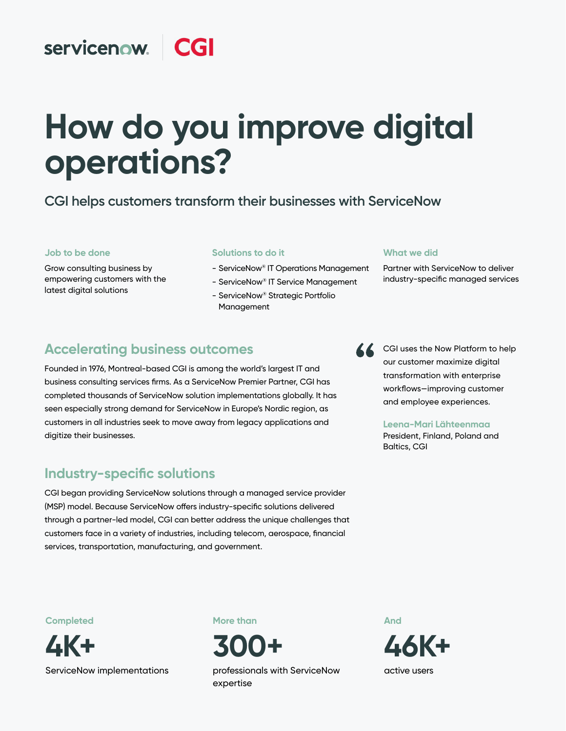#### servicenow. **CGI**

# **How do you improve digital operations?**

## **CGI helps customers transform their businesses with ServiceNow**

#### **Job to be done**

Grow consulting business by empowering customers with the latest digital solutions

#### **Solutions to do it**

- ServiceNow® IT Operations Management
- ServiceNow® IT Service Management
- ServiceNow® Strategic Portfolio Management

#### **What we did**

Partner with ServiceNow to deliver industry-specific managed services

## **Accelerating business outcomes**

Founded in 1976, Montreal-based CGI is among the world's largest IT and business consulting services firms. As a ServiceNow Premier Partner, CGI has completed thousands of ServiceNow solution implementations globally. It has seen especially strong demand for ServiceNow in Europe's Nordic region, as customers in all industries seek to move away from legacy applications and digitize their businesses.

## **Industry-specific solutions**

CGI began providing ServiceNow solutions through a managed service provider (MSP) model. Because ServiceNow offers industry-specific solutions delivered through a partner-led model, CGI can better address the unique challenges that customers face in a variety of industries, including telecom, aerospace, financial services, transportation, manufacturing, and government.

CGI uses the Now Platform to help our customer maximize digital transformation with enterprise workflows—improving customer and employee experiences.

#### **Leena-Mari Lähteenmaa**

President, Finland, Poland and Baltics, CGI

**Completed**



ServiceNow implementations

**More than**

**300+**

professionals with ServiceNow expertise

**And 46K+**  active users